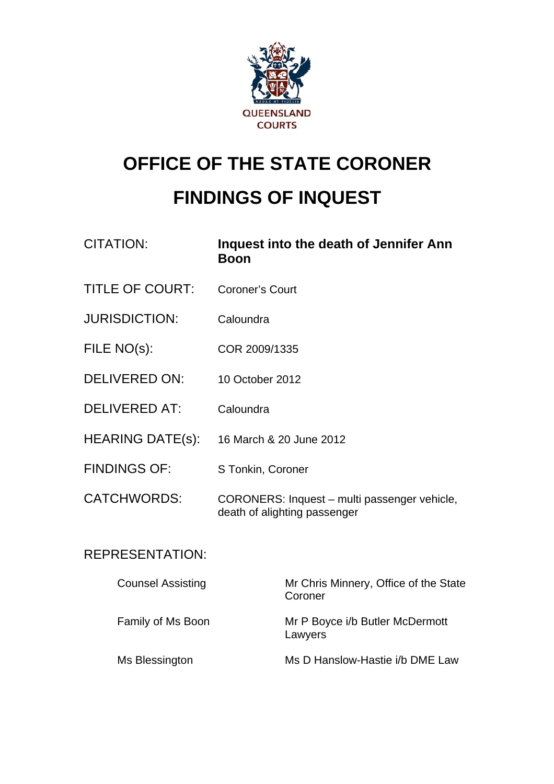

# **OFFICE OF THE STATE CORONER FINDINGS OF INQUEST**

| <b>CITATION:</b>         | Inquest into the death of Jennifer Ann<br><b>Boon</b>                        |                                                  |
|--------------------------|------------------------------------------------------------------------------|--------------------------------------------------|
| <b>TITLE OF COURT:</b>   | <b>Coroner's Court</b>                                                       |                                                  |
| <b>JURISDICTION:</b>     | Caloundra                                                                    |                                                  |
| FILE NO(s):              | COR 2009/1335                                                                |                                                  |
| <b>DELIVERED ON:</b>     | 10 October 2012                                                              |                                                  |
| <b>DELIVERED AT:</b>     | Caloundra                                                                    |                                                  |
| <b>HEARING DATE(s):</b>  | 16 March & 20 June 2012                                                      |                                                  |
| <b>FINDINGS OF:</b>      | S Tonkin, Coroner                                                            |                                                  |
| <b>CATCHWORDS:</b>       | CORONERS: Inquest - multi passenger vehicle,<br>death of alighting passenger |                                                  |
| <b>REPRESENTATION:</b>   |                                                                              |                                                  |
| <b>Counsel Assisting</b> |                                                                              | Mr Chris Minnery, Office of the State<br>Coroner |
| Family of Ms Boon        |                                                                              | Mr P Boyce i/b Butler McDermott<br>Lawyers       |

Ms Blessington Ms D Hanslow-Hastie i/b DME Law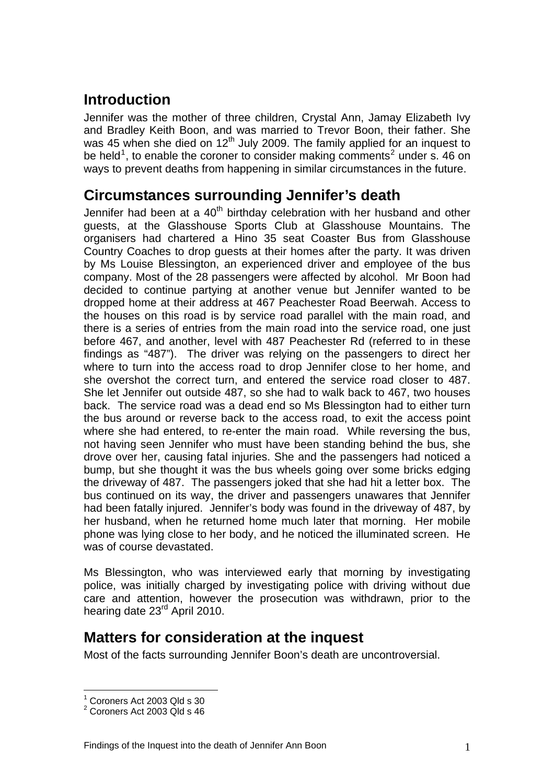### **Introduction**

Jennifer was the mother of three children, Crystal Ann, Jamay Elizabeth Ivy and Bradley Keith Boon, and was married to Trevor Boon, their father. She was 45 when she died on  $12<sup>th</sup>$  July 2009. The family applied for an inquest to be held<sup>[1](#page-1-0)</sup>, to enable the coroner to consider making comments<sup>[2](#page-1-1)</sup> under s. 46 on ways to prevent deaths from happening in similar circumstances in the future.

#### **Circumstances surrounding Jennifer's death**

Jennifer had been at a  $40<sup>th</sup>$  birthday celebration with her husband and other guests, at the Glasshouse Sports Club at Glasshouse Mountains. The organisers had chartered a Hino 35 seat Coaster Bus from Glasshouse Country Coaches to drop guests at their homes after the party. It was driven by Ms Louise Blessington, an experienced driver and employee of the bus company. Most of the 28 passengers were affected by alcohol. Mr Boon had decided to continue partying at another venue but Jennifer wanted to be dropped home at their address at 467 Peachester Road Beerwah. Access to the houses on this road is by service road parallel with the main road, and there is a series of entries from the main road into the service road, one just before 467, and another, level with 487 Peachester Rd (referred to in these findings as "487"). The driver was relying on the passengers to direct her where to turn into the access road to drop Jennifer close to her home, and she overshot the correct turn, and entered the service road closer to 487. She let Jennifer out outside 487, so she had to walk back to 467, two houses back. The service road was a dead end so Ms Blessington had to either turn the bus around or reverse back to the access road, to exit the access point where she had entered, to re-enter the main road. While reversing the bus, not having seen Jennifer who must have been standing behind the bus, she drove over her, causing fatal injuries. She and the passengers had noticed a bump, but she thought it was the bus wheels going over some bricks edging the driveway of 487. The passengers joked that she had hit a letter box. The bus continued on its way, the driver and passengers unawares that Jennifer had been fatally injured. Jennifer's body was found in the driveway of 487, by her husband, when he returned home much later that morning. Her mobile phone was lying close to her body, and he noticed the illuminated screen. He was of course devastated.

Ms Blessington, who was interviewed early that morning by investigating police, was initially charged by investigating police with driving without due care and attention, however the prosecution was withdrawn, prior to the hearing date 23<sup>rd</sup> April 2010.

#### **Matters for consideration at the inquest**

Most of the facts surrounding Jennifer Boon's death are uncontroversial.

 $\overline{a}$ <sup>1</sup> Coroners Act 2003 Qld s 30

<span id="page-1-1"></span><span id="page-1-0"></span> $2$  Coroners Act 2003 Qld s 46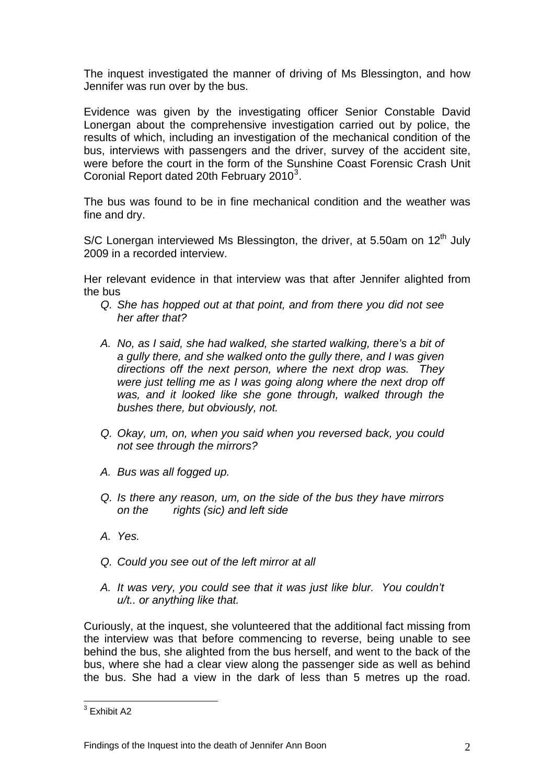The inquest investigated the manner of driving of Ms Blessington, and how Jennifer was run over by the bus.

Evidence was given by the investigating officer Senior Constable David Lonergan about the comprehensive investigation carried out by police, the results of which, including an investigation of the mechanical condition of the bus, interviews with passengers and the driver, survey of the accident site, were before the court in the form of the Sunshine Coast Forensic Crash Unit Coronial Report dated 20th February 2010 $^3$  $^3$ .

The bus was found to be in fine mechanical condition and the weather was fine and dry.

S/C Lonergan interviewed Ms Blessington, the driver, at 5.50am on  $12<sup>th</sup>$  July 2009 in a recorded interview.

Her relevant evidence in that interview was that after Jennifer alighted from the bus

- *Q. She has hopped out at that point, and from there you did not see her after that?*
- *A. No, as I said, she had walked, she started walking, there's a bit of a gully there, and she walked onto the gully there, and I was given directions off the next person, where the next drop was. They were just telling me as I was going along where the next drop off*  was, and it looked like she gone through, walked through the *bushes there, but obviously, not.*
- *Q. Okay, um, on, when you said when you reversed back, you could not see through the mirrors?*
- *A. Bus was all fogged up.*
- *Q. Is there any reason, um, on the side of the bus they have mirrors on the rights (sic) and left side*
- *A. Yes.*
- *Q. Could you see out of the left mirror at all*
- *A. It was very, you could see that it was just like blur. You couldn't u/t.. or anything like that.*

Curiously, at the inquest, she volunteered that the additional fact missing from the interview was that before commencing to reverse, being unable to see behind the bus, she alighted from the bus herself, and went to the back of the bus, where she had a clear view along the passenger side as well as behind the bus. She had a view in the dark of less than 5 metres up the road.

<span id="page-2-0"></span> 3 Exhibit A2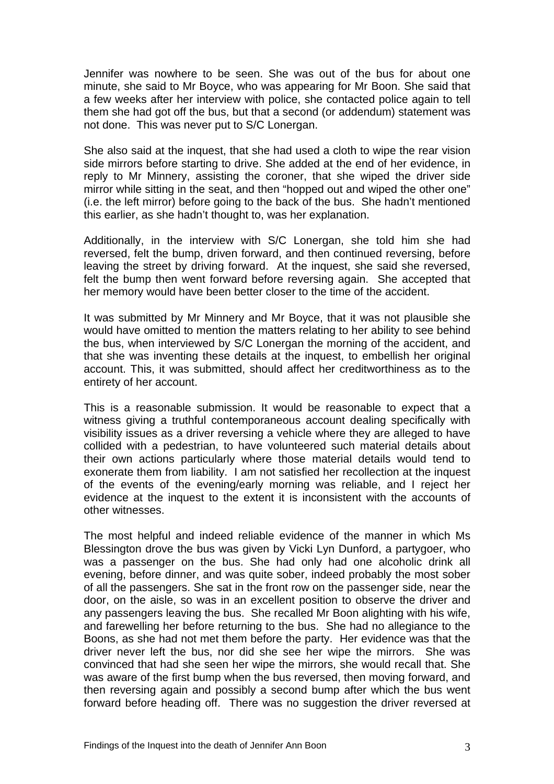Jennifer was nowhere to be seen. She was out of the bus for about one minute, she said to Mr Boyce, who was appearing for Mr Boon. She said that a few weeks after her interview with police, she contacted police again to tell them she had got off the bus, but that a second (or addendum) statement was not done. This was never put to S/C Lonergan.

She also said at the inquest, that she had used a cloth to wipe the rear vision side mirrors before starting to drive. She added at the end of her evidence, in reply to Mr Minnery, assisting the coroner, that she wiped the driver side mirror while sitting in the seat, and then "hopped out and wiped the other one" (i.e. the left mirror) before going to the back of the bus. She hadn't mentioned this earlier, as she hadn't thought to, was her explanation.

Additionally, in the interview with S/C Lonergan, she told him she had reversed, felt the bump, driven forward, and then continued reversing, before leaving the street by driving forward. At the inquest, she said she reversed, felt the bump then went forward before reversing again. She accepted that her memory would have been better closer to the time of the accident.

It was submitted by Mr Minnery and Mr Boyce, that it was not plausible she would have omitted to mention the matters relating to her ability to see behind the bus, when interviewed by S/C Lonergan the morning of the accident, and that she was inventing these details at the inquest, to embellish her original account. This, it was submitted, should affect her creditworthiness as to the entirety of her account.

This is a reasonable submission. It would be reasonable to expect that a witness giving a truthful contemporaneous account dealing specifically with visibility issues as a driver reversing a vehicle where they are alleged to have collided with a pedestrian, to have volunteered such material details about their own actions particularly where those material details would tend to exonerate them from liability. I am not satisfied her recollection at the inquest of the events of the evening/early morning was reliable, and I reject her evidence at the inquest to the extent it is inconsistent with the accounts of other witnesses.

The most helpful and indeed reliable evidence of the manner in which Ms Blessington drove the bus was given by Vicki Lyn Dunford, a partygoer, who was a passenger on the bus. She had only had one alcoholic drink all evening, before dinner, and was quite sober, indeed probably the most sober of all the passengers. She sat in the front row on the passenger side, near the door, on the aisle, so was in an excellent position to observe the driver and any passengers leaving the bus. She recalled Mr Boon alighting with his wife, and farewelling her before returning to the bus. She had no allegiance to the Boons, as she had not met them before the party. Her evidence was that the driver never left the bus, nor did she see her wipe the mirrors. She was convinced that had she seen her wipe the mirrors, she would recall that. She was aware of the first bump when the bus reversed, then moving forward, and then reversing again and possibly a second bump after which the bus went forward before heading off. There was no suggestion the driver reversed at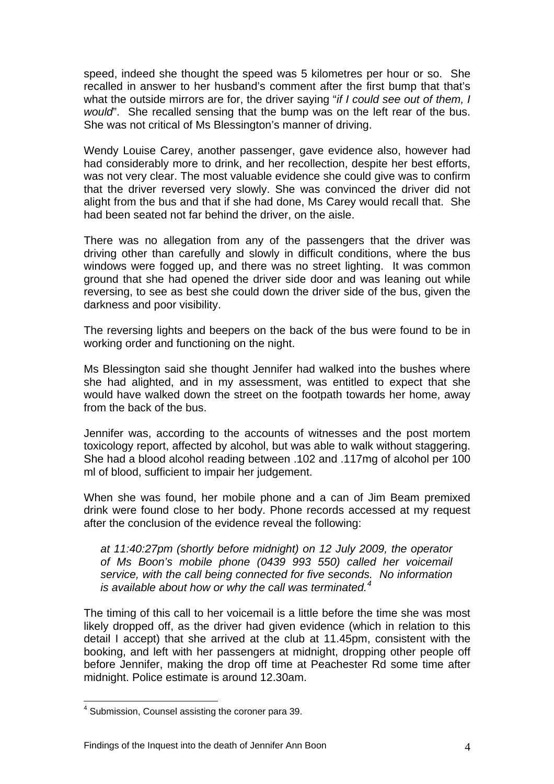speed, indeed she thought the speed was 5 kilometres per hour or so. She recalled in answer to her husband's comment after the first bump that that's what the outside mirrors are for, the driver saying "*if I could see out of them, I would*". She recalled sensing that the bump was on the left rear of the bus. She was not critical of Ms Blessington's manner of driving.

Wendy Louise Carey, another passenger, gave evidence also, however had had considerably more to drink, and her recollection, despite her best efforts, was not very clear. The most valuable evidence she could give was to confirm that the driver reversed very slowly. She was convinced the driver did not alight from the bus and that if she had done, Ms Carey would recall that. She had been seated not far behind the driver, on the aisle.

There was no allegation from any of the passengers that the driver was driving other than carefully and slowly in difficult conditions, where the bus windows were fogged up, and there was no street lighting. It was common ground that she had opened the driver side door and was leaning out while reversing, to see as best she could down the driver side of the bus, given the darkness and poor visibility.

The reversing lights and beepers on the back of the bus were found to be in working order and functioning on the night.

Ms Blessington said she thought Jennifer had walked into the bushes where she had alighted, and in my assessment, was entitled to expect that she would have walked down the street on the footpath towards her home, away from the back of the bus.

Jennifer was, according to the accounts of witnesses and the post mortem toxicology report, affected by alcohol, but was able to walk without staggering. She had a blood alcohol reading between .102 and .117mg of alcohol per 100 ml of blood, sufficient to impair her judgement.

When she was found, her mobile phone and a can of Jim Beam premixed drink were found close to her body. Phone records accessed at my request after the conclusion of the evidence reveal the following:

*at 11:40:27pm (shortly before midnight) on 12 July 2009, the operator of Ms Boon's mobile phone (0439 993 550) called her voicemail service, with the call being connected for five seconds. No information is available about how or why the call was terminated.[4](#page-4-0)*

The timing of this call to her voicemail is a little before the time she was most likely dropped off, as the driver had given evidence (which in relation to this detail I accept) that she arrived at the club at 11.45pm, consistent with the booking, and left with her passengers at midnight, dropping other people off before Jennifer, making the drop off time at Peachester Rd some time after midnight. Police estimate is around 12.30am.

 $\overline{a}$ 

<span id="page-4-0"></span><sup>&</sup>lt;sup>4</sup> Submission, Counsel assisting the coroner para 39.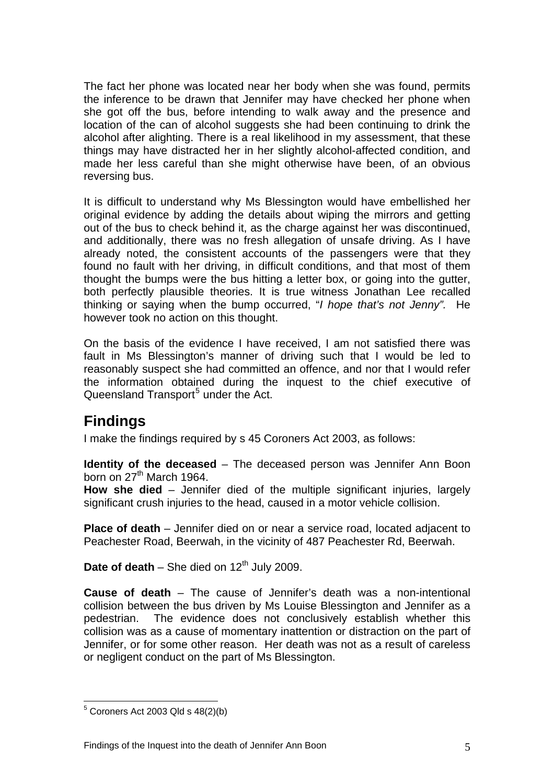The fact her phone was located near her body when she was found, permits the inference to be drawn that Jennifer may have checked her phone when she got off the bus, before intending to walk away and the presence and location of the can of alcohol suggests she had been continuing to drink the alcohol after alighting. There is a real likelihood in my assessment, that these things may have distracted her in her slightly alcohol-affected condition, and made her less careful than she might otherwise have been, of an obvious reversing bus.

It is difficult to understand why Ms Blessington would have embellished her original evidence by adding the details about wiping the mirrors and getting out of the bus to check behind it, as the charge against her was discontinued, and additionally, there was no fresh allegation of unsafe driving. As I have already noted, the consistent accounts of the passengers were that they found no fault with her driving, in difficult conditions, and that most of them thought the bumps were the bus hitting a letter box, or going into the gutter, both perfectly plausible theories. It is true witness Jonathan Lee recalled thinking or saying when the bump occurred, "*I hope that's not Jenny".* He however took no action on this thought.

On the basis of the evidence I have received, I am not satisfied there was fault in Ms Blessington's manner of driving such that I would be led to reasonably suspect she had committed an offence, and nor that I would refer the information obtained during the inquest to the chief executive of Queensland Transport<sup>[5](#page-5-0)</sup> under the Act.

#### **Findings**

I make the findings required by s 45 Coroners Act 2003, as follows:

**Identity of the deceased** – The deceased person was Jennifer Ann Boon born on  $27<sup>th</sup>$  March 1964.

**How she died** – Jennifer died of the multiple significant injuries, largely significant crush injuries to the head, caused in a motor vehicle collision.

**Place of death** – Jennifer died on or near a service road, located adjacent to Peachester Road, Beerwah, in the vicinity of 487 Peachester Rd, Beerwah.

**Date of death** – She died on  $12<sup>th</sup>$  July 2009.

**Cause of death** – The cause of Jennifer's death was a non-intentional collision between the bus driven by Ms Louise Blessington and Jennifer as a pedestrian. The evidence does not conclusively establish whether this collision was as a cause of momentary inattention or distraction on the part of Jennifer, or for some other reason. Her death was not as a result of careless or negligent conduct on the part of Ms Blessington.

<span id="page-5-0"></span> 5 Coroners Act 2003 Qld s 48(2)(b)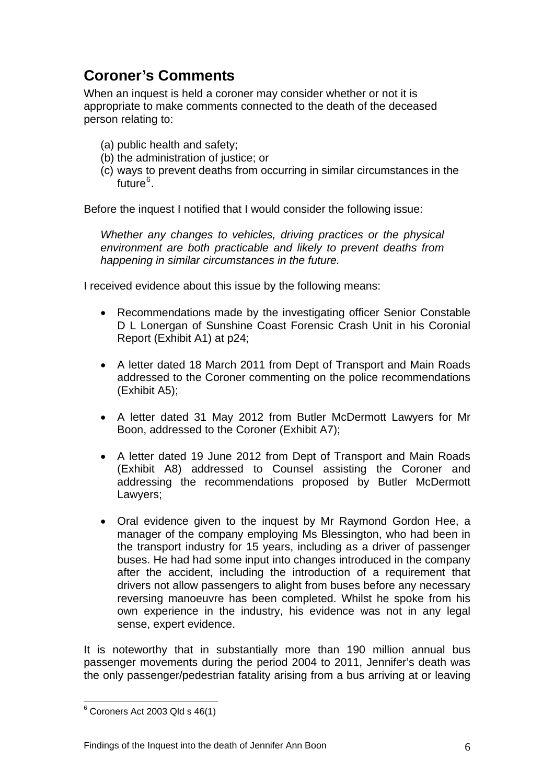## **Coroner's Comments**

When an inquest is held a coroner may consider whether or not it is appropriate to make comments connected to the death of the deceased person relating to:

- (a) public health and safety;
- (b) the administration of justice; or
- (c) ways to prevent deaths from occurring in similar circumstances in the future<sup>[6](#page-6-0)</sup>.

Before the inquest I notified that I would consider the following issue:

*Whether any changes to vehicles, driving practices or the physical environment are both practicable and likely to prevent deaths from happening in similar circumstances in the future.* 

I received evidence about this issue by the following means:

- Recommendations made by the investigating officer Senior Constable D L Lonergan of Sunshine Coast Forensic Crash Unit in his Coronial Report (Exhibit A1) at p24;
- A letter dated 18 March 2011 from Dept of Transport and Main Roads addressed to the Coroner commenting on the police recommendations (Exhibit A5);
- A letter dated 31 May 2012 from Butler McDermott Lawyers for Mr Boon, addressed to the Coroner (Exhibit A7);
- A letter dated 19 June 2012 from Dept of Transport and Main Roads (Exhibit A8) addressed to Counsel assisting the Coroner and addressing the recommendations proposed by Butler McDermott Lawyers;
- Oral evidence given to the inquest by Mr Raymond Gordon Hee, a manager of the company employing Ms Blessington, who had been in the transport industry for 15 years, including as a driver of passenger buses. He had had some input into changes introduced in the company after the accident, including the introduction of a requirement that drivers not allow passengers to alight from buses before any necessary reversing manoeuvre has been completed. Whilst he spoke from his own experience in the industry, his evidence was not in any legal sense, expert evidence.

It is noteworthy that in substantially more than 190 million annual bus passenger movements during the period 2004 to 2011, Jennifer's death was the only passenger/pedestrian fatality arising from a bus arriving at or leaving

<span id="page-6-0"></span> 6 Coroners Act 2003 Qld s 46(1)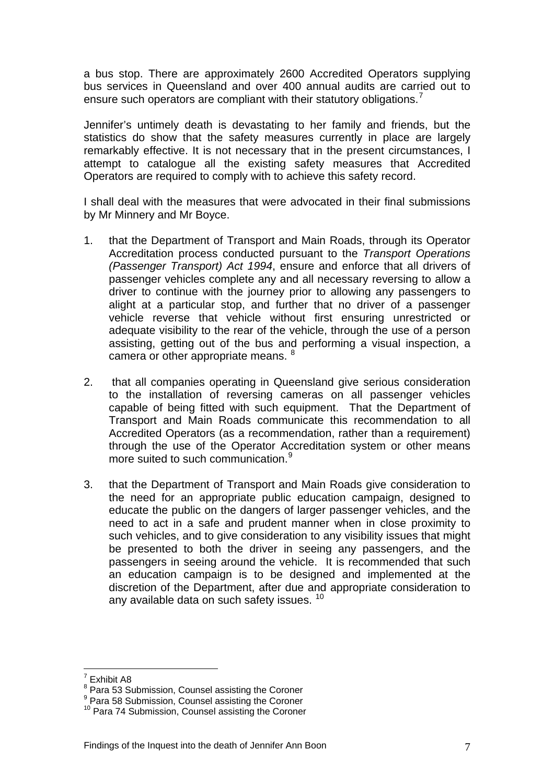a bus stop. There are approximately 2600 Accredited Operators supplying bus services in Queensland and over 400 annual audits are carried out to ensure such operators are compliant with their statutory obligations.<sup>[7](#page-7-0)</sup>

Jennifer's untimely death is devastating to her family and friends, but the statistics do show that the safety measures currently in place are largely remarkably effective. It is not necessary that in the present circumstances, I attempt to catalogue all the existing safety measures that Accredited Operators are required to comply with to achieve this safety record.

I shall deal with the measures that were advocated in their final submissions by Mr Minnery and Mr Boyce.

- 1. that the Department of Transport and Main Roads, through its Operator Accreditation process conducted pursuant to the *Transport Operations (Passenger Transport) Act 1994*, ensure and enforce that all drivers of passenger vehicles complete any and all necessary reversing to allow a driver to continue with the journey prior to allowing any passengers to alight at a particular stop, and further that no driver of a passenger vehicle reverse that vehicle without first ensuring unrestricted or adequate visibility to the rear of the vehicle, through the use of a person assisting, getting out of the bus and performing a visual inspection, a camera or other appropriate means. <sup>[8](#page-7-1)</sup>
- 2. that all companies operating in Queensland give serious consideration to the installation of reversing cameras on all passenger vehicles capable of being fitted with such equipment. That the Department of Transport and Main Roads communicate this recommendation to all Accredited Operators (as a recommendation, rather than a requirement) through the use of the Operator Accreditation system or other means more suited to such communication.<sup>[9](#page-7-2)</sup>
- 3. that the Department of Transport and Main Roads give consideration to the need for an appropriate public education campaign, designed to educate the public on the dangers of larger passenger vehicles, and the need to act in a safe and prudent manner when in close proximity to such vehicles, and to give consideration to any visibility issues that might be presented to both the driver in seeing any passengers, and the passengers in seeing around the vehicle. It is recommended that such an education campaign is to be designed and implemented at the discretion of the Department, after due and appropriate consideration to any available data on such safety issues. <sup>[10](#page-7-3)</sup>

 7 Exhibit A8

<span id="page-7-1"></span><span id="page-7-0"></span><sup>&</sup>lt;sup>8</sup> Para 53 Submission, Counsel assisting the Coroner

<sup>&</sup>lt;sup>9</sup> Para 58 Submission, Counsel assisting the Coroner

<span id="page-7-3"></span><span id="page-7-2"></span><sup>&</sup>lt;sup>10</sup> Para 74 Submission, Counsel assisting the Coroner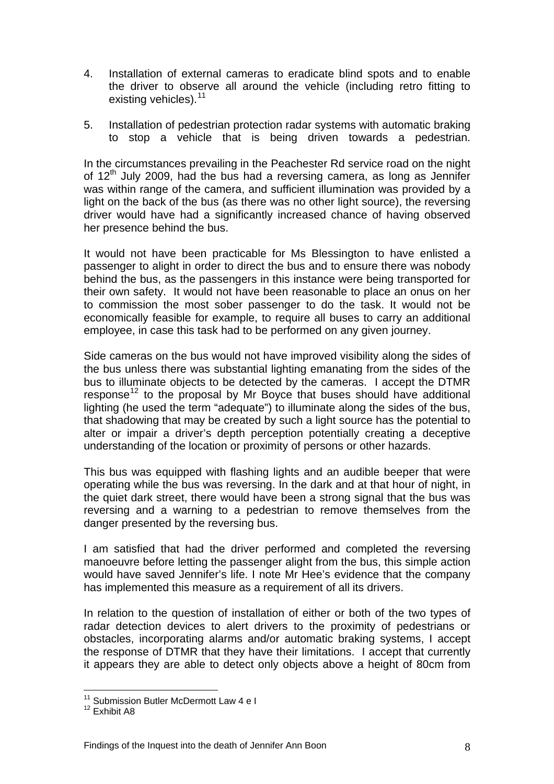- 4. Installation of external cameras to eradicate blind spots and to enable the driver to observe all around the vehicle (including retro fitting to existing vehicles).<sup>[11](#page-8-0)</sup>
- 5. Installation of pedestrian protection radar systems with automatic braking to stop a vehicle that is being driven towards a pedestrian.

In the circumstances prevailing in the Peachester Rd service road on the night of  $12<sup>th</sup>$  July 2009, had the bus had a reversing camera, as long as Jennifer was within range of the camera, and sufficient illumination was provided by a light on the back of the bus (as there was no other light source), the reversing driver would have had a significantly increased chance of having observed her presence behind the bus.

It would not have been practicable for Ms Blessington to have enlisted a passenger to alight in order to direct the bus and to ensure there was nobody behind the bus, as the passengers in this instance were being transported for their own safety. It would not have been reasonable to place an onus on her to commission the most sober passenger to do the task. It would not be economically feasible for example, to require all buses to carry an additional employee, in case this task had to be performed on any given journey.

Side cameras on the bus would not have improved visibility along the sides of the bus unless there was substantial lighting emanating from the sides of the bus to illuminate objects to be detected by the cameras. I accept the DTMR response<sup>[12](#page-8-1)</sup> to the proposal by Mr Boyce that buses should have additional lighting (he used the term "adequate") to illuminate along the sides of the bus, that shadowing that may be created by such a light source has the potential to alter or impair a driver's depth perception potentially creating a deceptive understanding of the location or proximity of persons or other hazards.

This bus was equipped with flashing lights and an audible beeper that were operating while the bus was reversing. In the dark and at that hour of night, in the quiet dark street, there would have been a strong signal that the bus was reversing and a warning to a pedestrian to remove themselves from the danger presented by the reversing bus.

I am satisfied that had the driver performed and completed the reversing manoeuvre before letting the passenger alight from the bus, this simple action would have saved Jennifer's life. I note Mr Hee's evidence that the company has implemented this measure as a requirement of all its drivers.

In relation to the question of installation of either or both of the two types of radar detection devices to alert drivers to the proximity of pedestrians or obstacles, incorporating alarms and/or automatic braking systems, I accept the response of DTMR that they have their limitations. I accept that currently it appears they are able to detect only objects above a height of 80cm from

 $\overline{a}$ 

<sup>&</sup>lt;sup>11</sup> Submission Butler McDermott Law 4 e I

<span id="page-8-1"></span><span id="page-8-0"></span><sup>&</sup>lt;sup>12</sup> Exhibit A8